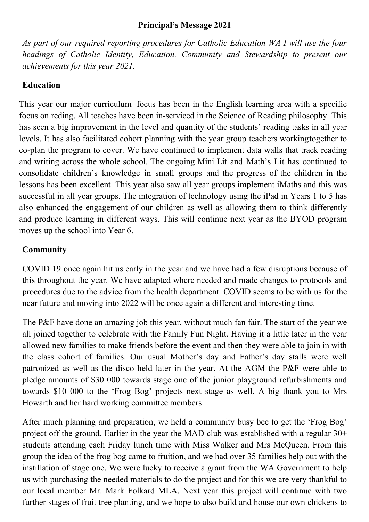#### **Principal's Message 2021**

*As part of our required reporting procedures for Catholic Education WA I will use the four headings of Catholic Identity, Education, Community and Stewardship to present our achievements for this year 2021.*

### **Education**

This year our major curriculum focus has been in the English learning area with a specific focus on reding. All teaches have been in-serviced in the Science of Reading philosophy. This has seen a big improvement in the level and quantity of the students' reading tasks in all year levels. It has also facilitated cohort planning with the year group teachers workingtogether to co-plan the program to cover. We have continued to implement data walls that track reading and writing across the whole school. The ongoing Mini Lit and Math's Lit has continued to consolidate children's knowledge in small groups and the progress of the children in the lessons has been excellent. This year also saw all year groups implement iMaths and this was successful in all year groups. The integration of technology using the iPad in Years 1 to 5 has also enhanced the engagement of our children as well as allowing them to think differently and produce learning in different ways. This will continue next year as the BYOD program moves up the school into Year 6.

# **Community**

COVID 19 once again hit us early in the year and we have had a few disruptions because of this throughout the year. We have adapted where needed and made changes to protocols and procedures due to the advice from the health department. COVID seems to be with us for the near future and moving into 2022 will be once again a different and interesting time.

The P&F have done an amazing job this year, without much fan fair. The start of the year we all joined together to celebrate with the Family Fun Night. Having it a little later in the year allowed new families to make friends before the event and then they were able to join in with the class cohort of families. Our usual Mother's day and Father's day stalls were well patronized as well as the disco held later in the year. At the AGM the P&F were able to pledge amounts of \$30 000 towards stage one of the junior playground refurbishments and towards \$10 000 to the 'Frog Bog' projects next stage as well. A big thank you to Mrs Howarth and her hard working committee members.

After much planning and preparation, we held a community busy bee to get the 'Frog Bog' project off the ground. Earlier in the year the MAD club was established with a regular  $30<sup>+</sup>$ students attending each Friday lunch time with Miss Walker and Mrs McQueen. From this group the idea of the frog bog came to fruition, and we had over 35 families help out with the instillation of stage one. We were lucky to receive a grant from the WA Government to help us with purchasing the needed materials to do the project and for this we are very thankful to our local member Mr. Mark Folkard MLA. Next year this project will continue with two further stages of fruit tree planting, and we hope to also build and house our own chickens to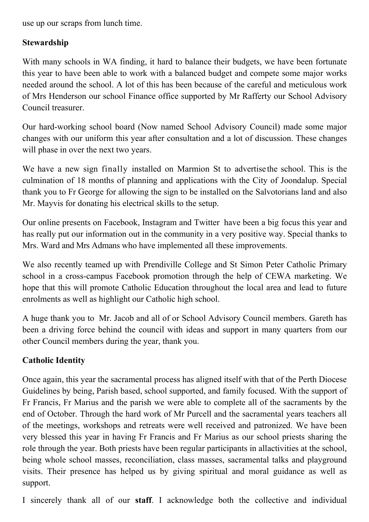use up our scraps from lunch time.

## **Stewardship**

With many schools in WA finding, it hard to balance their budgets, we have been fortunate this year to have been able to work with a balanced budget and compete some major works needed around the school. A lot of this has been because of the careful and meticulous work of Mrs Henderson our school Finance office supported by Mr Rafferty our School Advisory Council treasurer.

Our hard-working school board (Now named School Advisory Council) made some major changes with our uniform this year after consultation and a lot of discussion. These changes will phase in over the next two years.

We have a new sign finally installed on Marmion St to advertise the school. This is the culmination of 18 months of planning and applications with the City of Joondalup. Special thank you to Fr George for allowing the sign to be installed on the Salvotorians land and also Mr. Mayvis for donating his electrical skills to the setup.

Our online presents on Facebook, Instagram and Twitter have been a big focus this year and has really put our information out in the community in a very positive way. Special thanks to Mrs. Ward and Mrs Admans who have implemented all these improvements.

We also recently teamed up with Prendiville College and St Simon Peter Catholic Primary school in a cross-campus Facebook promotion through the help of CEWA marketing. We hope that this will promote Catholic Education throughout the local area and lead to future enrolments as well as highlight our Catholic high school.

A huge thank you to Mr. Jacob and all of or School Advisory Council members. Gareth has been a driving force behind the council with ideas and support in many quarters from our other Council members during the year, thank you.

## **Catholic Identity**

Once again, this year the sacramental process has aligned itself with that of the Perth Diocese Guidelines by being, Parish based, school supported, and family focused. With the support of Fr Francis, Fr Marius and the parish we were able to complete all of the sacraments by the end of October. Through the hard work of Mr Purcell and the sacramental years teachers all of the meetings, workshops and retreats were well received and patronized. We have been very blessed this year in having Fr Francis and Fr Marius as our school priests sharing the role through the year. Both priests have been regular participants in allactivities at the school, being whole school masses, reconciliation, class masses, sacramental talks and playground visits. Their presence has helped us by giving spiritual and moral guidance as well as support.

I sincerely thank all of our **staff**. I acknowledge both the collective and individual